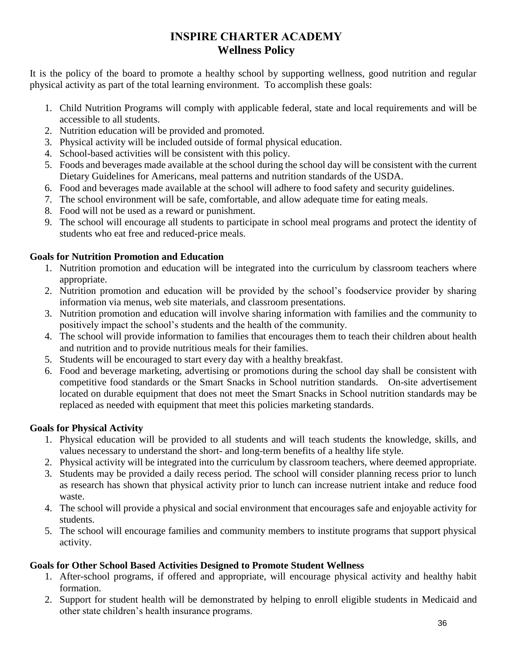# **INSPIRE CHARTER ACADEMY Wellness Policy**

It is the policy of the board to promote a healthy school by supporting wellness, good nutrition and regular physical activity as part of the total learning environment. To accomplish these goals:

- 1. Child Nutrition Programs will comply with applicable federal, state and local requirements and will be accessible to all students.
- 2. Nutrition education will be provided and promoted.
- 3. Physical activity will be included outside of formal physical education.
- 4. School-based activities will be consistent with this policy.
- 5. Foods and beverages made available at the school during the school day will be consistent with the current Dietary Guidelines for Americans, meal patterns and nutrition standards of the USDA.
- 6. Food and beverages made available at the school will adhere to food safety and security guidelines.
- 7. The school environment will be safe, comfortable, and allow adequate time for eating meals.
- 8. Food will not be used as a reward or punishment.
- 9. The school will encourage all students to participate in school meal programs and protect the identity of students who eat free and reduced-price meals.

### **Goals for Nutrition Promotion and Education**

- 1. Nutrition promotion and education will be integrated into the curriculum by classroom teachers where appropriate.
- 2. Nutrition promotion and education will be provided by the school's foodservice provider by sharing information via menus, web site materials, and classroom presentations.
- 3. Nutrition promotion and education will involve sharing information with families and the community to positively impact the school's students and the health of the community.
- 4. The school will provide information to families that encourages them to teach their children about health and nutrition and to provide nutritious meals for their families.
- 5. Students will be encouraged to start every day with a healthy breakfast.
- 6. Food and beverage marketing, advertising or promotions during the school day shall be consistent with competitive food standards or the Smart Snacks in School nutrition standards. On-site advertisement located on durable equipment that does not meet the Smart Snacks in School nutrition standards may be replaced as needed with equipment that meet this policies marketing standards.

## **Goals for Physical Activity**

- 1. Physical education will be provided to all students and will teach students the knowledge, skills, and values necessary to understand the short- and long-term benefits of a healthy life style.
- 2. Physical activity will be integrated into the curriculum by classroom teachers, where deemed appropriate.
- 3. Students may be provided a daily recess period. The school will consider planning recess prior to lunch as research has shown that physical activity prior to lunch can increase nutrient intake and reduce food waste.
- 4. The school will provide a physical and social environment that encourages safe and enjoyable activity for students.
- 5. The school will encourage families and community members to institute programs that support physical activity.

## **Goals for Other School Based Activities Designed to Promote Student Wellness**

- 1. After-school programs, if offered and appropriate, will encourage physical activity and healthy habit formation.
- 2. Support for student health will be demonstrated by helping to enroll eligible students in Medicaid and other state children's health insurance programs.